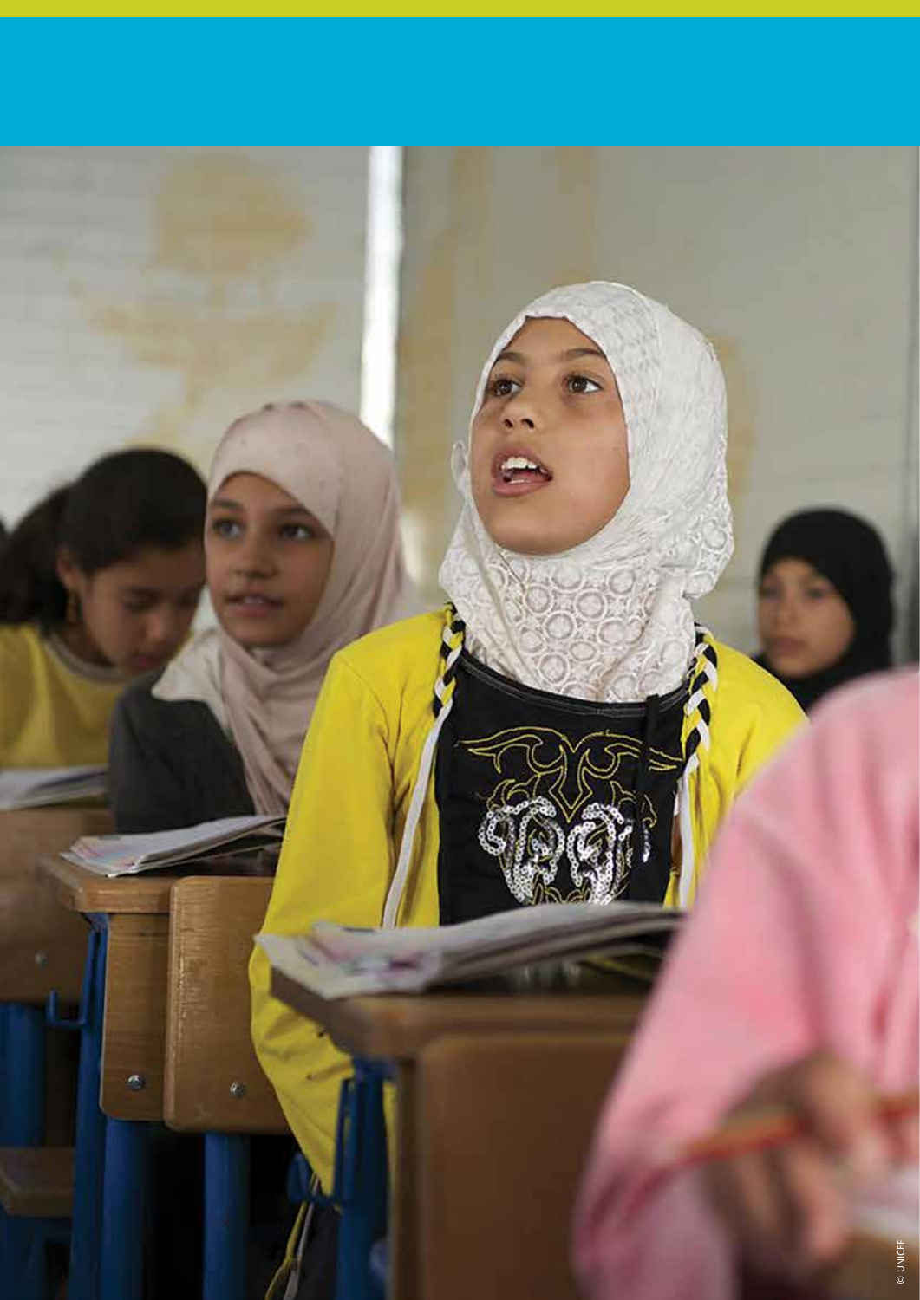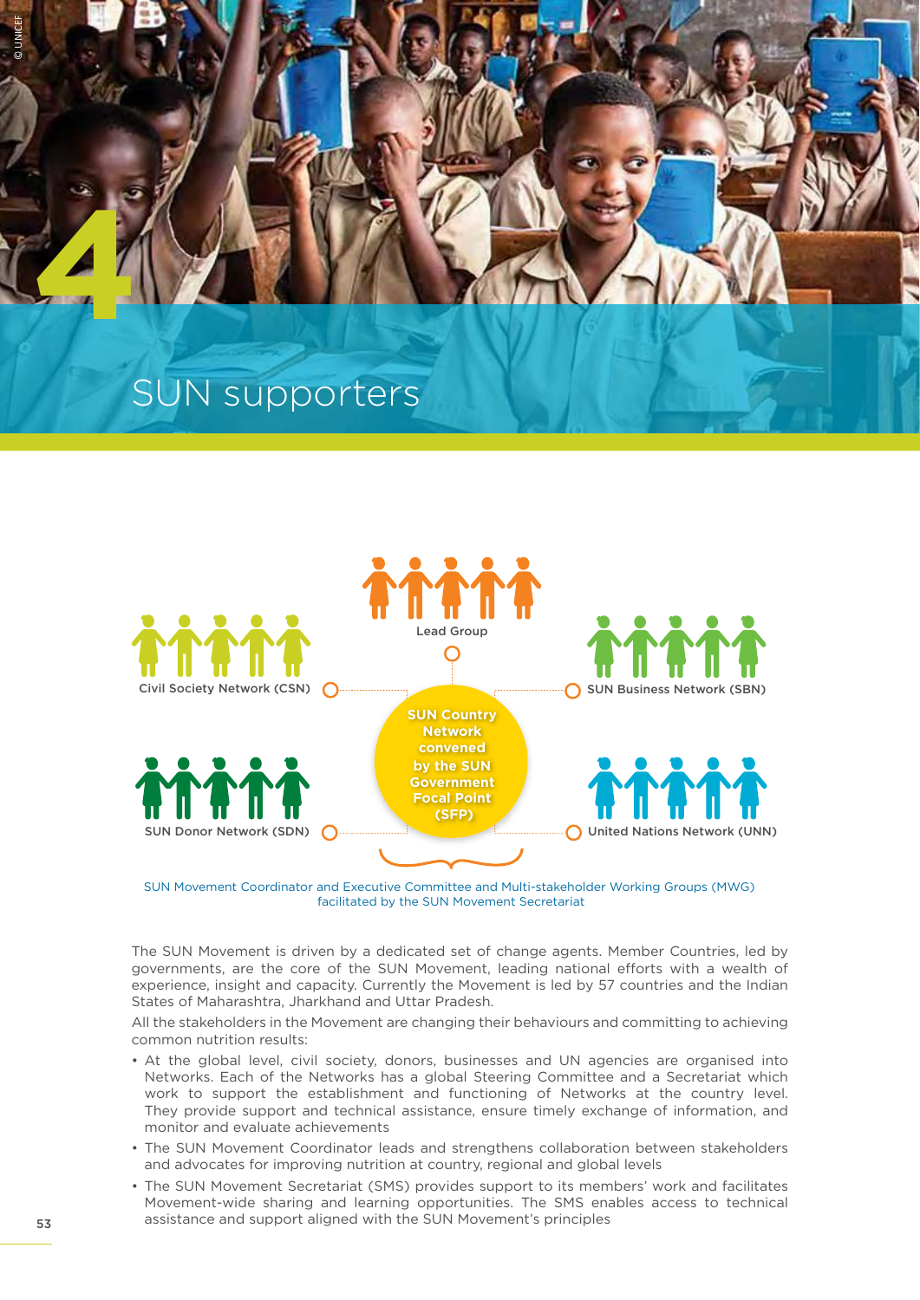# SUN supporters



SUN Movement Coordinator and Executive Committee and Multi-stakeholder Working Groups (MWG) facilitated by the SUN Movement Secretariat

The SUN Movement is driven by a dedicated set of change agents. Member Countries, led by governments, are the core of the SUN Movement, leading national efforts with a wealth of experience, insight and capacity. Currently the Movement is led by 57 countries and the Indian States of Maharashtra, Jharkhand and Uttar Pradesh.

All the stakeholders in the Movement are changing their behaviours and committing to achieving common nutrition results:

- At the global level, civil society, donors, businesses and UN agencies are organised into Networks. Each of the Networks has a global Steering Committee and a Secretariat which work to support the establishment and functioning of Networks at the country level. They provide support and technical assistance, ensure timely exchange of information, and monitor and evaluate achievements
- The SUN Movement Coordinator leads and strengthens collaboration between stakeholders and advocates for improving nutrition at country, regional and global levels
- The SUN Movement Secretariat (SMS) provides support to its members' work and facilitates Movement-wide sharing and learning opportunities. The SMS enables access to technical assistance and support aligned with the SUN Movement's principles

© UNICEF

**4**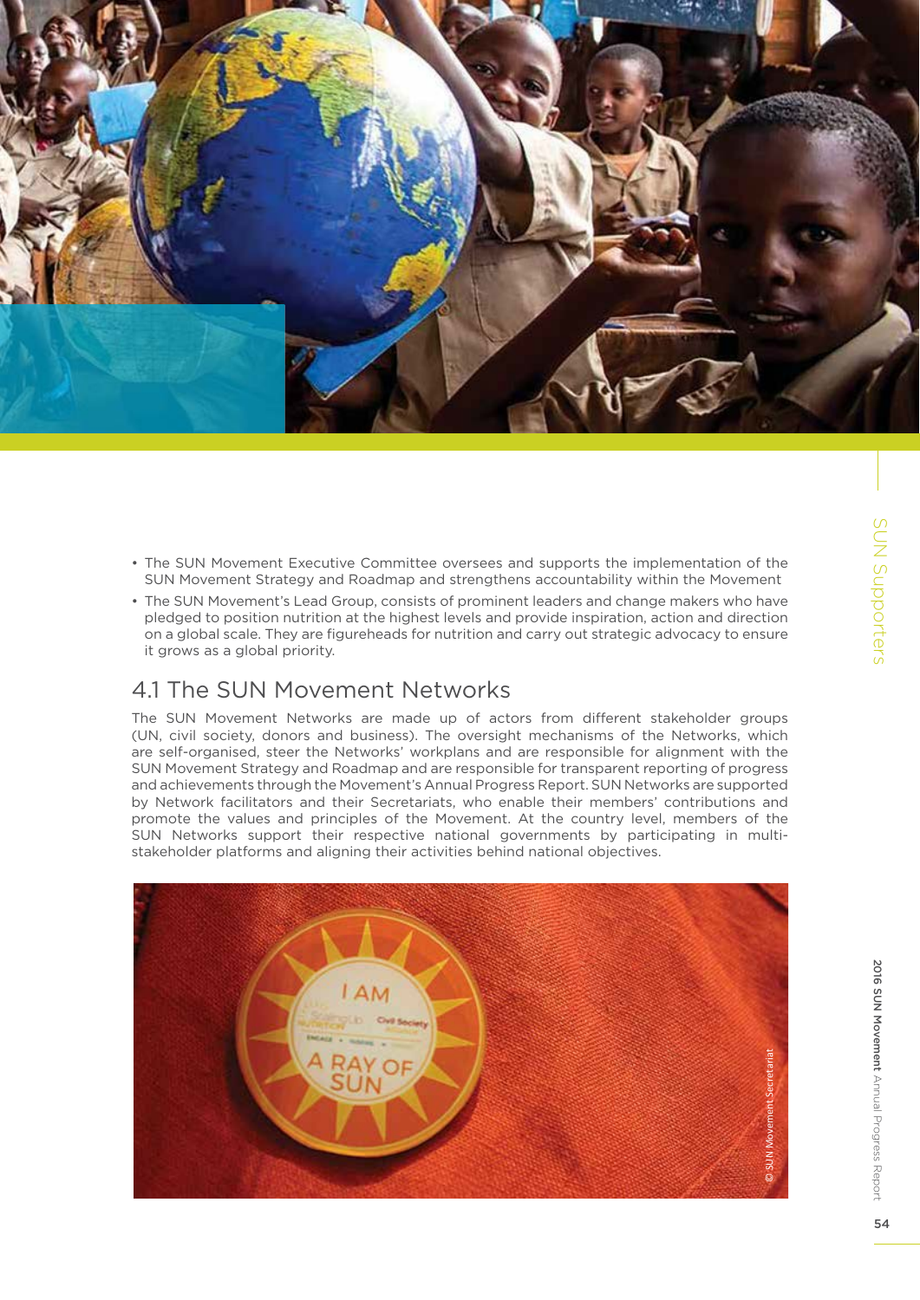

- The SUN Movement Executive Committee oversees and supports the implementation of the SUN Movement Strategy and Roadmap and strengthens accountability within the Movement
- The SUN Movement's Lead Group, consists of prominent leaders and change makers who have pledged to position nutrition at the highest levels and provide inspiration, action and direction on a global scale. They are figureheads for nutrition and carry out strategic advocacy to ensure it grows as a global priority.

### 4.1 The SUN Movement Networks

The SUN Movement Networks are made up of actors from different stakeholder groups (UN, civil society, donors and business). The oversight mechanisms of the Networks, which are self-organised, steer the Networks' workplans and are responsible for alignment with the SUN Movement Strategy and Roadmap and are responsible for transparent reporting of progress and achievements through the Movement's Annual Progress Report. SUN Networks are supported by Network facilitators and their Secretariats, who enable their members' contributions and promote the values and principles of the Movement. At the country level, members of the SUN Networks support their respective national governments by participating in multistakeholder platforms and aligning their activities behind national objectives.

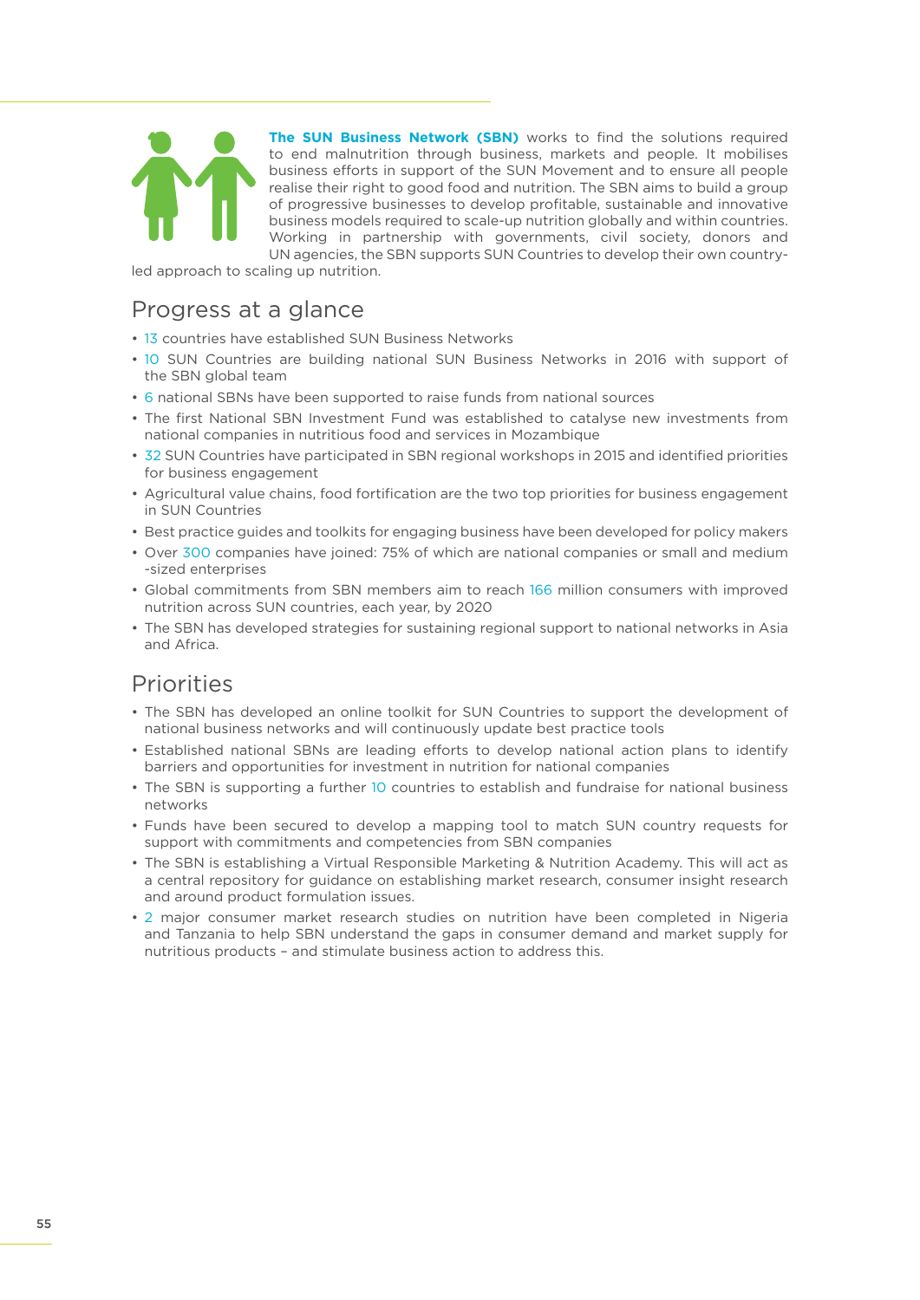

**The SUN Business Network (SBN)** works to find the solutions required to end malnutrition through business, markets and people. It mobilises business efforts in support of the SUN Movement and to ensure all people realise their right to good food and nutrition. The SBN aims to build a group of progressive businesses to develop profitable, sustainable and innovative business models required to scale-up nutrition globally and within countries. Working in partnership with governments, civil society, donors and UN agencies, the SBN supports SUN Countries to develop their own country-

led approach to scaling up nutrition.

### Progress at a glance

- 13 countries have established SUN Business Networks
- 10 SUN Countries are building national SUN Business Networks in 2016 with support of the SBN global team
- 6 national SBNs have been supported to raise funds from national sources
- The first National SBN Investment Fund was established to catalyse new investments from national companies in nutritious food and services in Mozambique
- 32 SUN Countries have participated in SBN regional workshops in 2015 and identified priorities for business engagement
- Agricultural value chains, food fortification are the two top priorities for business engagement in SUN Countries
- Best practice guides and toolkits for engaging business have been developed for policy makers
- Over 300 companies have joined: 75% of which are national companies or small and medium -sized enterprises
- Global commitments from SBN members aim to reach 166 million consumers with improved nutrition across SUN countries, each year, by 2020
- The SBN has developed strategies for sustaining regional support to national networks in Asia and Africa.

# Priorities

- The SBN has developed an online toolkit for SUN Countries to support the development of national business networks and will continuously update best practice tools
- Established national SBNs are leading efforts to develop national action plans to identify barriers and opportunities for investment in nutrition for national companies
- The SBN is supporting a further 10 countries to establish and fundraise for national business networks
- Funds have been secured to develop a mapping tool to match SUN country requests for support with commitments and competencies from SBN companies
- The SBN is establishing a Virtual Responsible Marketing & Nutrition Academy. This will act as a central repository for guidance on establishing market research, consumer insight research and around product formulation issues.
- 2 major consumer market research studies on nutrition have been completed in Nigeria and Tanzania to help SBN understand the gaps in consumer demand and market supply for nutritious products – and stimulate business action to address this.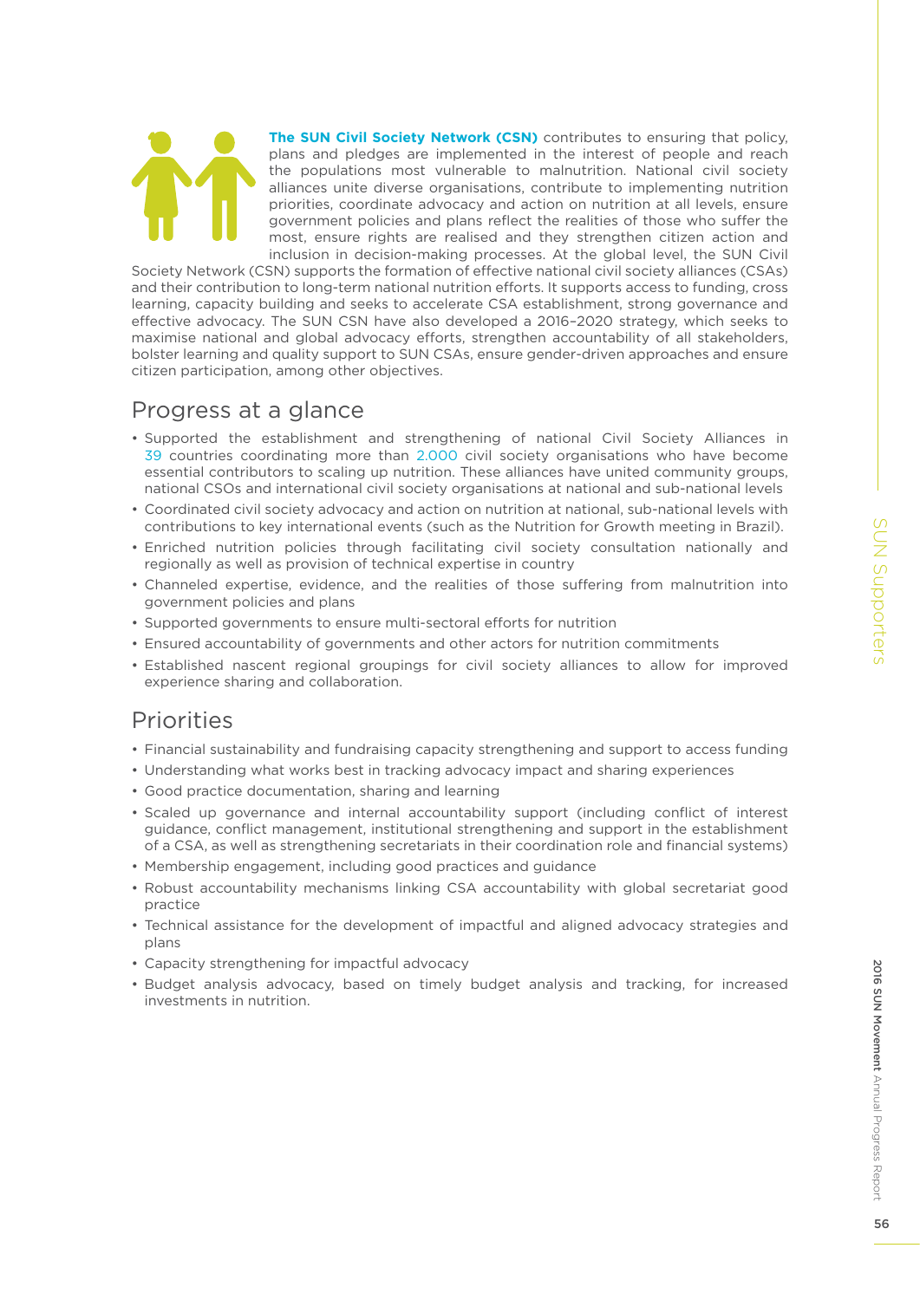**The SUN Civil Society Network (CSN)** contributes to ensuring that policy, plans and pledges are implemented in the interest of people and reach the populations most vulnerable to malnutrition. National civil society alliances unite diverse organisations, contribute to implementing nutrition priorities, coordinate advocacy and action on nutrition at all levels, ensure government policies and plans reflect the realities of those who suffer the most, ensure rights are realised and they strengthen citizen action and inclusion in decision-making processes. At the global level, the SUN Civil

Society Network (CSN) supports the formation of effective national civil society alliances (CSAs) and their contribution to long-term national nutrition efforts. It supports access to funding, cross learning, capacity building and seeks to accelerate CSA establishment, strong governance and effective advocacy. The SUN CSN have also developed a 2016–2020 strategy, which seeks to maximise national and global advocacy efforts, strengthen accountability of all stakeholders, bolster learning and quality support to SUN CSAs, ensure gender-driven approaches and ensure citizen participation, among other objectives.

### Progress at a glance

- Supported the establishment and strengthening of national Civil Society Alliances in 39 countries coordinating more than 2.000 civil society organisations who have become essential contributors to scaling up nutrition. These alliances have united community groups, national CSOs and international civil society organisations at national and sub-national levels
- Coordinated civil society advocacy and action on nutrition at national, sub-national levels with contributions to key international events (such as the Nutrition for Growth meeting in Brazil).
- Enriched nutrition policies through facilitating civil society consultation nationally and regionally as well as provision of technical expertise in country
- Channeled expertise, evidence, and the realities of those suffering from malnutrition into government policies and plans
- Supported governments to ensure multi-sectoral efforts for nutrition
- Ensured accountability of governments and other actors for nutrition commitments
- Established nascent regional groupings for civil society alliances to allow for improved experience sharing and collaboration.

# Priorities

- Financial sustainability and fundraising capacity strengthening and support to access funding
- Understanding what works best in tracking advocacy impact and sharing experiences
- Good practice documentation, sharing and learning
- Scaled up governance and internal accountability support (including conflict of interest guidance, conflict management, institutional strengthening and support in the establishment of a CSA, as well as strengthening secretariats in their coordination role and financial systems)
- Membership engagement, including good practices and guidance
- Robust accountability mechanisms linking CSA accountability with global secretariat good practice
- Technical assistance for the development of impactful and aligned advocacy strategies and plans
- Capacity strengthening for impactful advocacy
- Budget analysis advocacy, based on timely budget analysis and tracking, for increased investments in nutrition.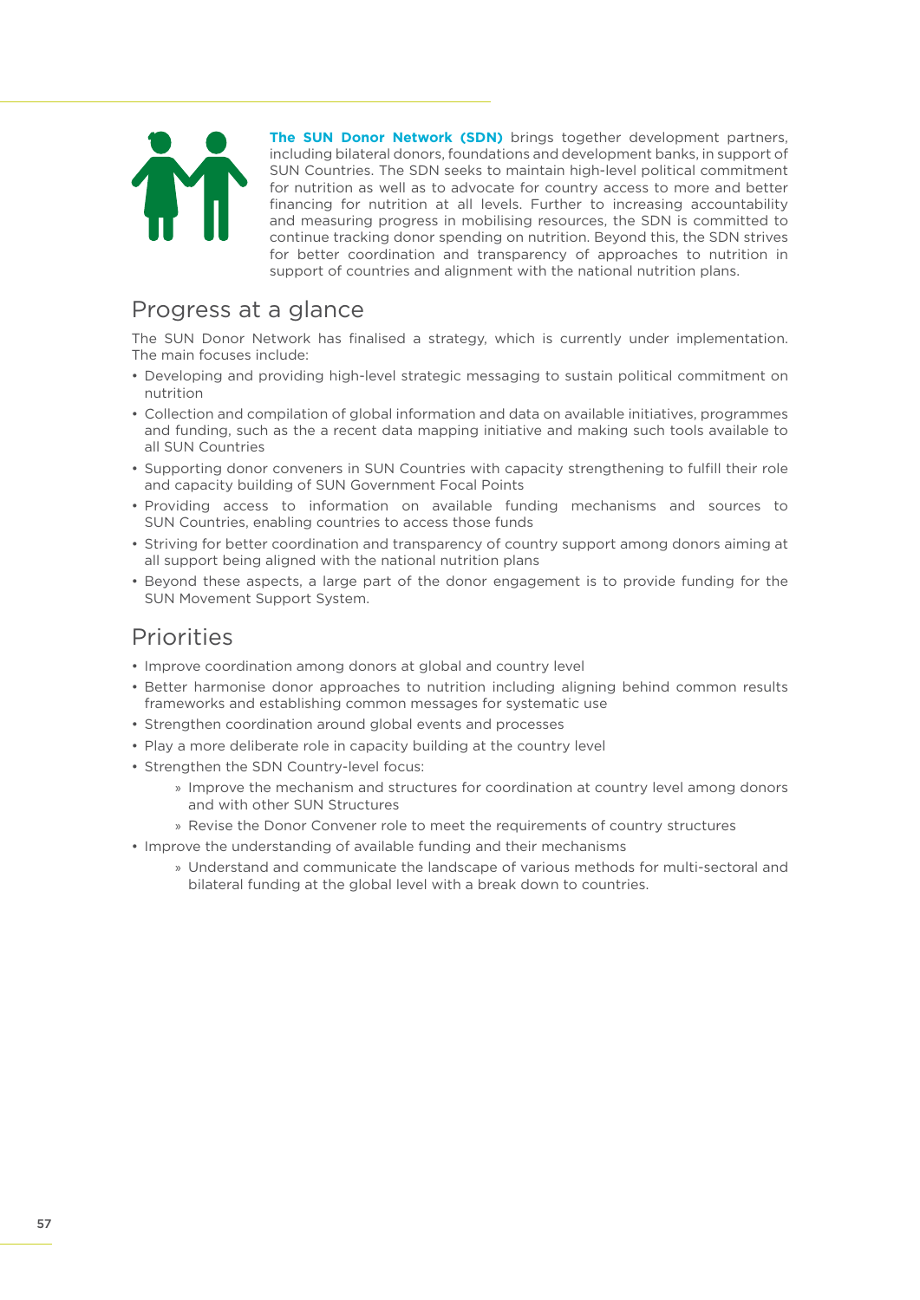

**The SUN Donor Network (SDN)** brings together development partners, including bilateral donors, foundations and development banks, in support of SUN Countries. The SDN seeks to maintain high-level political commitment for nutrition as well as to advocate for country access to more and better financing for nutrition at all levels. Further to increasing accountability and measuring progress in mobilising resources, the SDN is committed to continue tracking donor spending on nutrition. Beyond this, the SDN strives for better coordination and transparency of approaches to nutrition in support of countries and alignment with the national nutrition plans.

### Progress at a glance

The SUN Donor Network has finalised a strategy, which is currently under implementation. The main focuses include:

- Developing and providing high-level strategic messaging to sustain political commitment on nutrition
- Collection and compilation of global information and data on available initiatives, programmes and funding, such as the a recent data mapping initiative and making such tools available to all SUN Countries
- Supporting donor conveners in SUN Countries with capacity strengthening to fulfill their role and capacity building of SUN Government Focal Points
- Providing access to information on available funding mechanisms and sources to SUN Countries, enabling countries to access those funds
- Striving for better coordination and transparency of country support among donors aiming at all support being aligned with the national nutrition plans
- Beyond these aspects, a large part of the donor engagement is to provide funding for the SUN Movement Support System.

### Priorities

- Improve coordination among donors at global and country level
- Better harmonise donor approaches to nutrition including aligning behind common results frameworks and establishing common messages for systematic use
- Strengthen coordination around global events and processes
- Play a more deliberate role in capacity building at the country level
- Strengthen the SDN Country-level focus:
	- » Improve the mechanism and structures for coordination at country level among donors and with other SUN Structures
	- » Revise the Donor Convener role to meet the requirements of country structures
- Improve the understanding of available funding and their mechanisms
	- » Understand and communicate the landscape of various methods for multi-sectoral and bilateral funding at the global level with a break down to countries.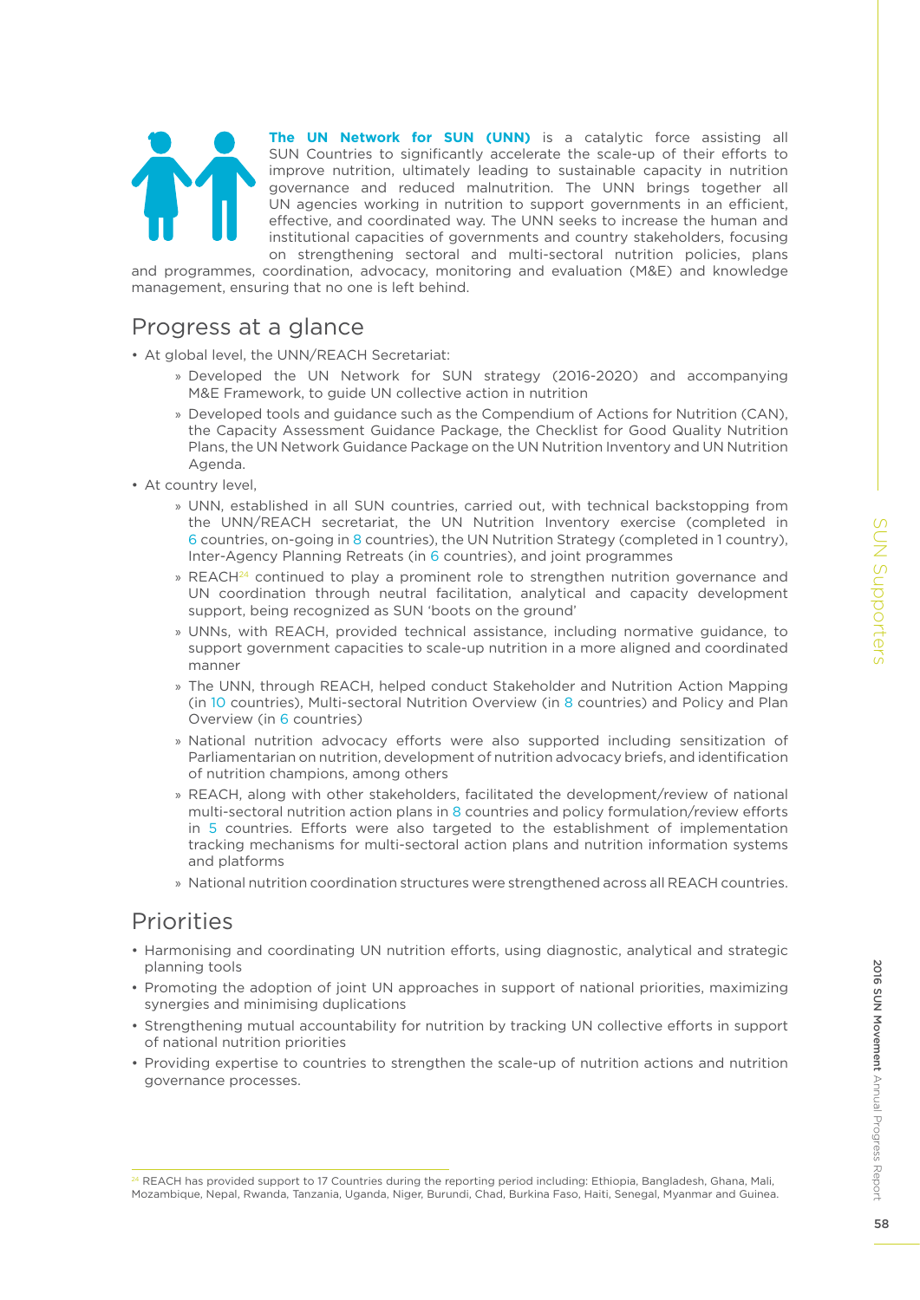

**The UN Network for SUN (UNN)** is a catalytic force assisting all SUN Countries to significantly accelerate the scale-up of their efforts to improve nutrition, ultimately leading to sustainable capacity in nutrition governance and reduced malnutrition. The UNN brings together all UN agencies working in nutrition to support governments in an efficient, effective, and coordinated way. The UNN seeks to increase the human and institutional capacities of governments and country stakeholders, focusing on strengthening sectoral and multi-sectoral nutrition policies, plans

and programmes, coordination, advocacy, monitoring and evaluation (M&E) and knowledge management, ensuring that no one is left behind.

### Progress at a glance

- At global level, the UNN/REACH Secretariat:
	- » Developed the UN Network for SUN strategy (2016-2020) and accompanying M&E Framework, to guide UN collective action in nutrition
	- » Developed tools and guidance such as the Compendium of Actions for Nutrition (CAN), the Capacity Assessment Guidance Package, the Checklist for Good Quality Nutrition Plans, the UN Network Guidance Package on the UN Nutrition Inventory and UN Nutrition Agenda.
- At country level,
	- » UNN, established in all SUN countries, carried out, with technical backstopping from the UNN/REACH secretariat, the UN Nutrition Inventory exercise (completed in 6 countries, on-going in 8 countries), the UN Nutrition Strategy (completed in 1 country), Inter-Agency Planning Retreats (in 6 countries), and joint programmes
	- » REACH $^{24}$  continued to play a prominent role to strengthen nutrition governance and UN coordination through neutral facilitation, analytical and capacity development support, being recognized as SUN 'boots on the ground'
	- » UNNs, with REACH, provided technical assistance, including normative guidance, to support government capacities to scale-up nutrition in a more aligned and coordinated manner
	- » The UNN, through REACH, helped conduct Stakeholder and Nutrition Action Mapping (in 10 countries), Multi-sectoral Nutrition Overview (in 8 countries) and Policy and Plan Overview (in 6 countries)
	- » National nutrition advocacy efforts were also supported including sensitization of Parliamentarian on nutrition, development of nutrition advocacy briefs, and identification of nutrition champions, among others
	- » REACH, along with other stakeholders, facilitated the development/review of national multi-sectoral nutrition action plans in 8 countries and policy formulation/review efforts in 5 countries. Efforts were also targeted to the establishment of implementation tracking mechanisms for multi-sectoral action plans and nutrition information systems and platforms
	- » National nutrition coordination structures were strengthened across all REACH countries.

### Priorities

- Harmonising and coordinating UN nutrition efforts, using diagnostic, analytical and strategic planning tools
- Promoting the adoption of joint UN approaches in support of national priorities, maximizing synergies and minimising duplications
- Strengthening mutual accountability for nutrition by tracking UN collective efforts in support of national nutrition priorities
- Providing expertise to countries to strengthen the scale-up of nutrition actions and nutrition governance processes.

Annual Progress Report

2016 SUN Movement Annual Progress Report

2016 SUN Movement

<sup>24</sup> REACH has provided support to 17 Countries during the reporting period including: Ethiopia, Bangladesh, Ghana, Mali, Mozambique, Nepal, Rwanda, Tanzania, Uganda, Niger, Burundi, Chad, Burkina Faso, Haiti, Senegal, Myanmar and Guinea.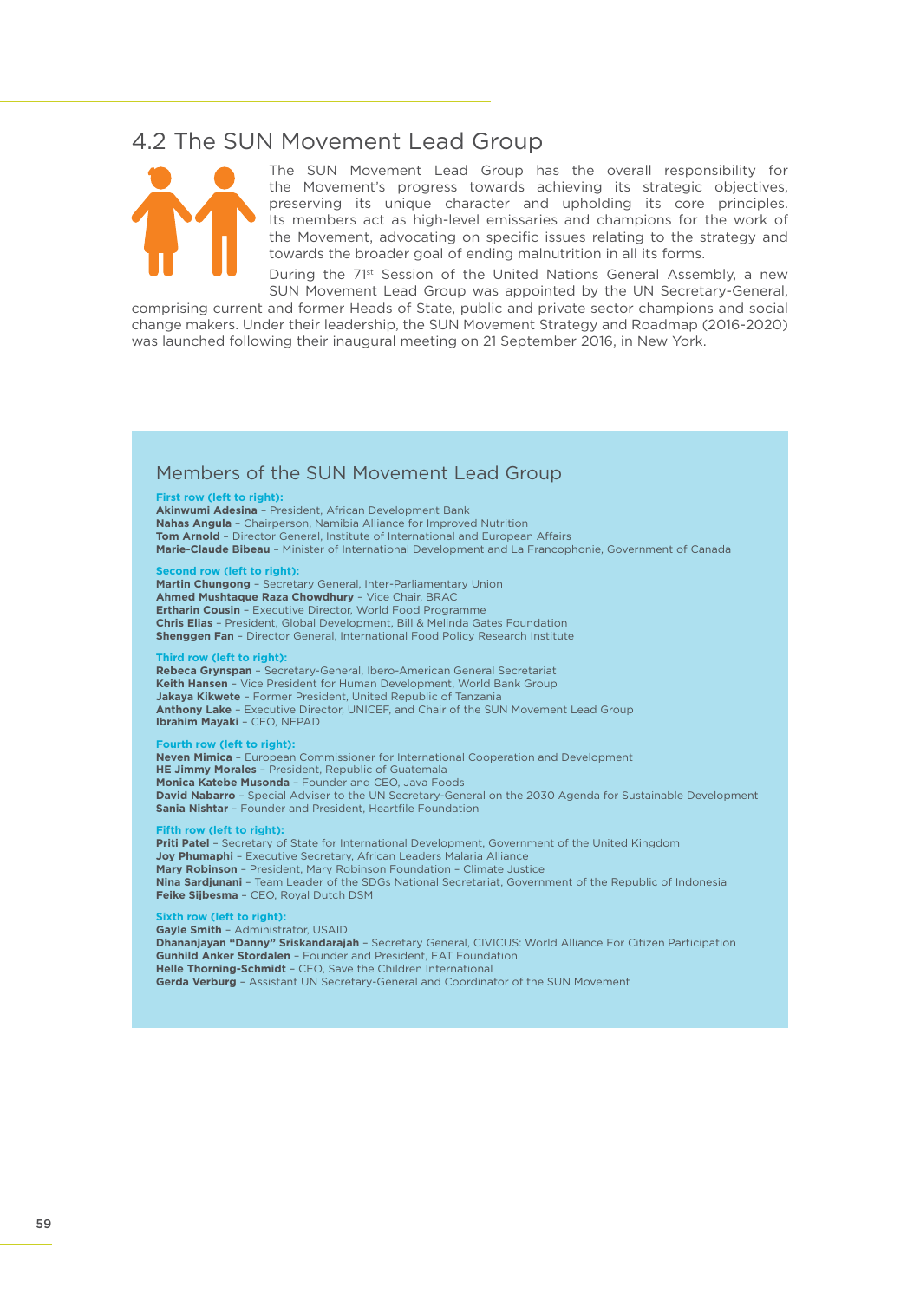### 4.2 The SUN Movement Lead Group



The SUN Movement Lead Group has the overall responsibility for the Movement's progress towards achieving its strategic objectives, preserving its unique character and upholding its core principles. Its members act as high-level emissaries and champions for the work of the Movement, advocating on specific issues relating to the strategy and towards the broader goal of ending malnutrition in all its forms.

During the 71<sup>st</sup> Session of the United Nations General Assembly, a new SUN Movement Lead Group was appointed by the UN Secretary-General,

comprising current and former Heads of State, public and private sector champions and social change makers. Under their leadership, the SUN Movement Strategy and Roadmap (2016-2020) was launched following their inaugural meeting on 21 September 2016, in New York.

### Members of the SUN Movement Lead Group

#### **First row (left to right):**

**Akinwumi Adesina** – President, African Development Bank **Nahas Angula** – Chairperson, Namibia Alliance for Improved Nutrition **Tom Arnold** – Director General, Institute of International and European Affairs **Marie-Claude Bibeau** – Minister of International Development and La Francophonie, Government of Canada

**Second row (left to right):**

**Martin Chungong** – Secretary General, Inter-Parliamentary Union **Ahmed Mushtaque Raza Chowdhury** – Vice Chair, BRAC **Ertharin Cousin** – Executive Director, World Food Programme **Chris Elias** – President, Global Development, Bill & Melinda Gates Foundation **Shenggen Fan** – Director General, International Food Policy Research Institute

#### **Third row (left to right):**

**Rebeca Grynspan** – Secretary-General, Ibero-American General Secretariat **Keith Hansen** – Vice President for Human Development, World Bank Group **Jakaya Kikwete** – Former President, United Republic of Tanzania **Anthony Lake** – Executive Director, UNICEF, and Chair of the SUN Movement Lead Group **Ibrahim Mayaki** – CEO, NEPAD

#### **Fourth row (left to right):**

**Neven Mimica** – European Commissioner for International Cooperation and Development **HE Jimmy Morales** – President, Republic of Guatemala **Monica Katebe Musonda** – Founder and CEO, Java Foods **David Nabarro** – Special Adviser to the UN Secretary-General on the 2030 Agenda for Sustainable Development **Sania Nishtar** – Founder and President, Heartfile Foundation

#### **Figure 1** (left to right):

**Priti Patel** – Secretary of State for International Development, Government of the United Kingdom **Joy Phumaphi** – Executive Secretary, African Leaders Malaria Alliance **Mary Robinson** – President, Mary Robinson Foundation – Climate Justice **Nina Sardjunani** – Team Leader of the SDGs National Secretariat, Government of the Republic of Indonesia **Feike Sijbesma** – CEO, Royal Dutch DSM

### **Sixth row (left to right):**

**Gayle Smith** – Administrator, USAID **Dhananjayan "Danny" Sriskandarajah** – Secretary General, CIVICUS: World Alliance For Citizen Participation **Gunhild Anker Stordalen** – Founder and President, EAT Foundation **Helle Thorning-Schmidt** – CEO, Save the Children International **Gerda Verburg** – Assistant UN Secretary-General and Coordinator of the SUN Movement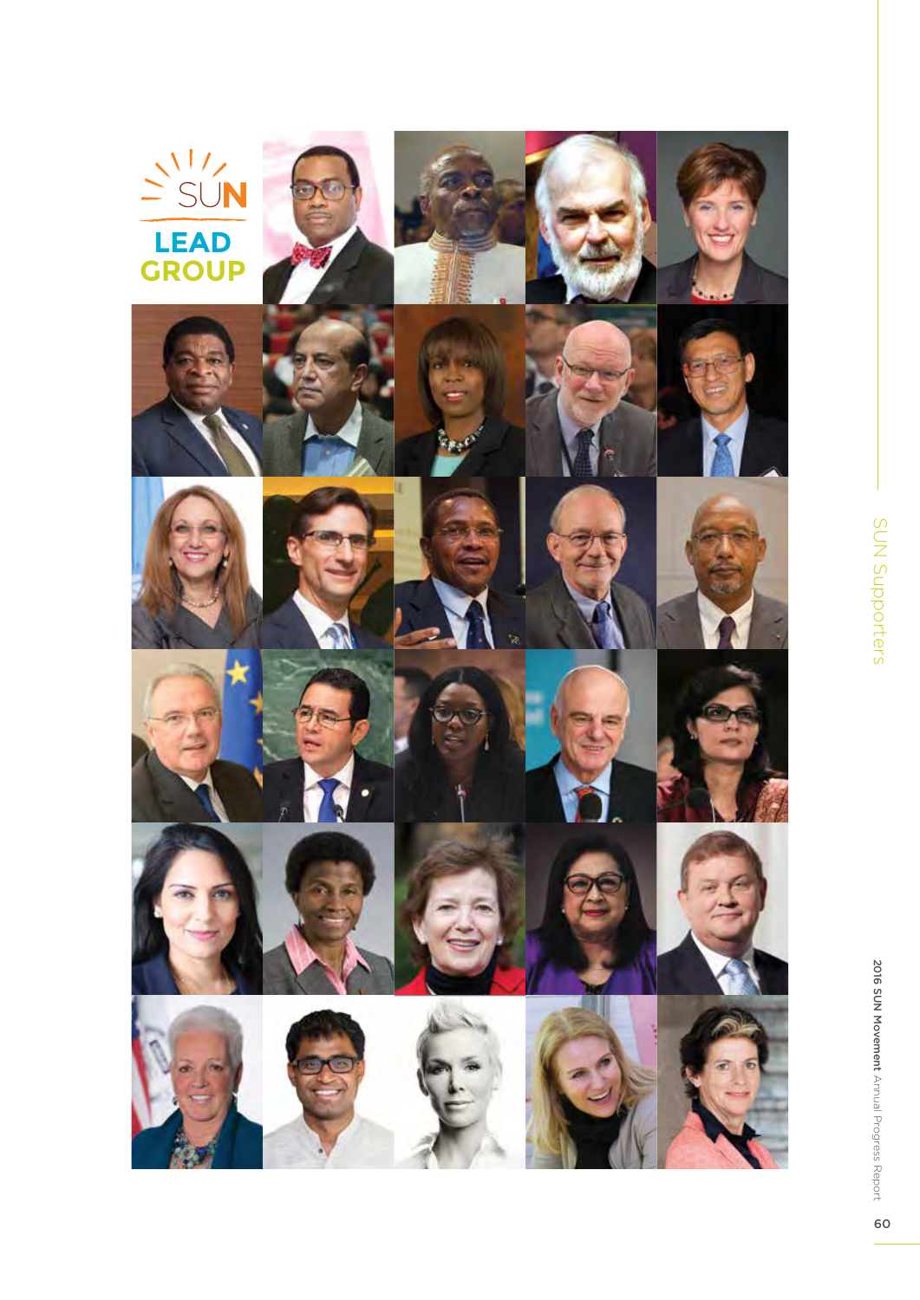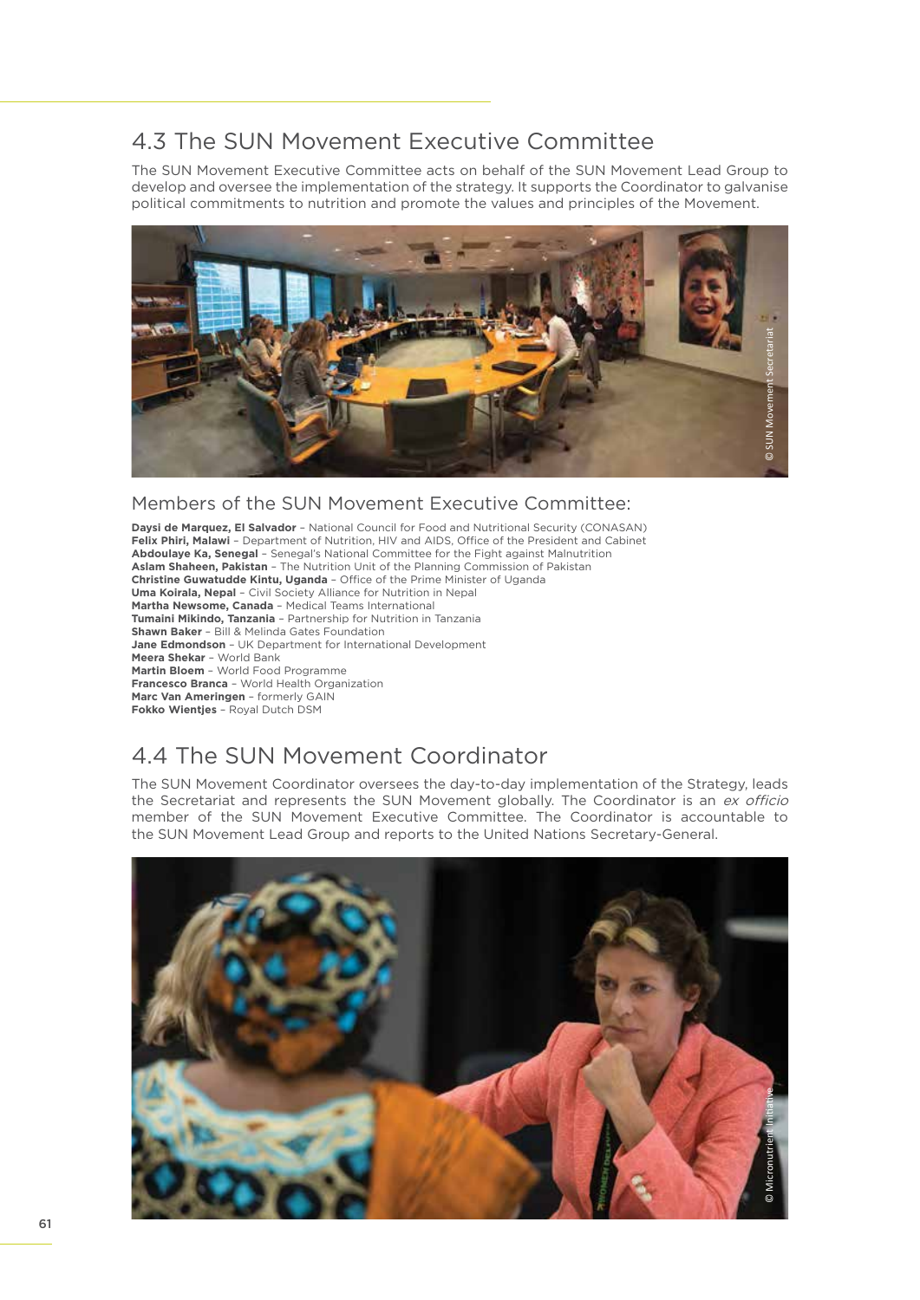### 4.3 The SUN Movement Executive Committee

The SUN Movement Executive Committee acts on behalf of the SUN Movement Lead Group to develop and oversee the implementation of the strategy. It supports the Coordinator to galvanise political commitments to nutrition and promote the values and principles of the Movement.



### Members of the SUN Movement Executive Committee:

**Daysi de Marquez, El Salvador** – National Council for Food and Nutritional Security (CONASAN) **Felix Phiri, Malawi** – Department of Nutrition, HIV and AIDS, Office of the President and Cabinet **Abdoulaye Ka, Senegal** – Senegal's National Committee for the Fight against Malnutrition **Aslam Shaheen, Pakistan** – The Nutrition Unit of the Planning Commission of Pakistan **Christine Guwatudde Kintu, Uganda** – Office of the Prime Minister of Uganda **Uma Koirala, Nepal** – Civil Society Alliance for Nutrition in Nepal **Martha Newsome, Canada** – Medical Teams International **Tumaini Mikindo, Tanzania** – Partnership for Nutrition in Tanzania **Shawn Baker** – Bill & Melinda Gates Foundation **Jane Edmondson** – UK Department for International Development **Meera Shekar** – World Bank **Martin Bloem** – World Food Programme **Francesco Branca** – World Health Organization **Marc Van Ameringen** – formerly GAIN **Fokko Wientjes** – Royal Dutch DSM

# 4.4 The SUN Movement Coordinator

The SUN Movement Coordinator oversees the day-to-day implementation of the Strategy, leads the Secretariat and represents the SUN Movement globally. The Coordinator is an ex officio member of the SUN Movement Executive Committee. The Coordinator is accountable to the SUN Movement Lead Group and reports to the United Nations Secretary-General.

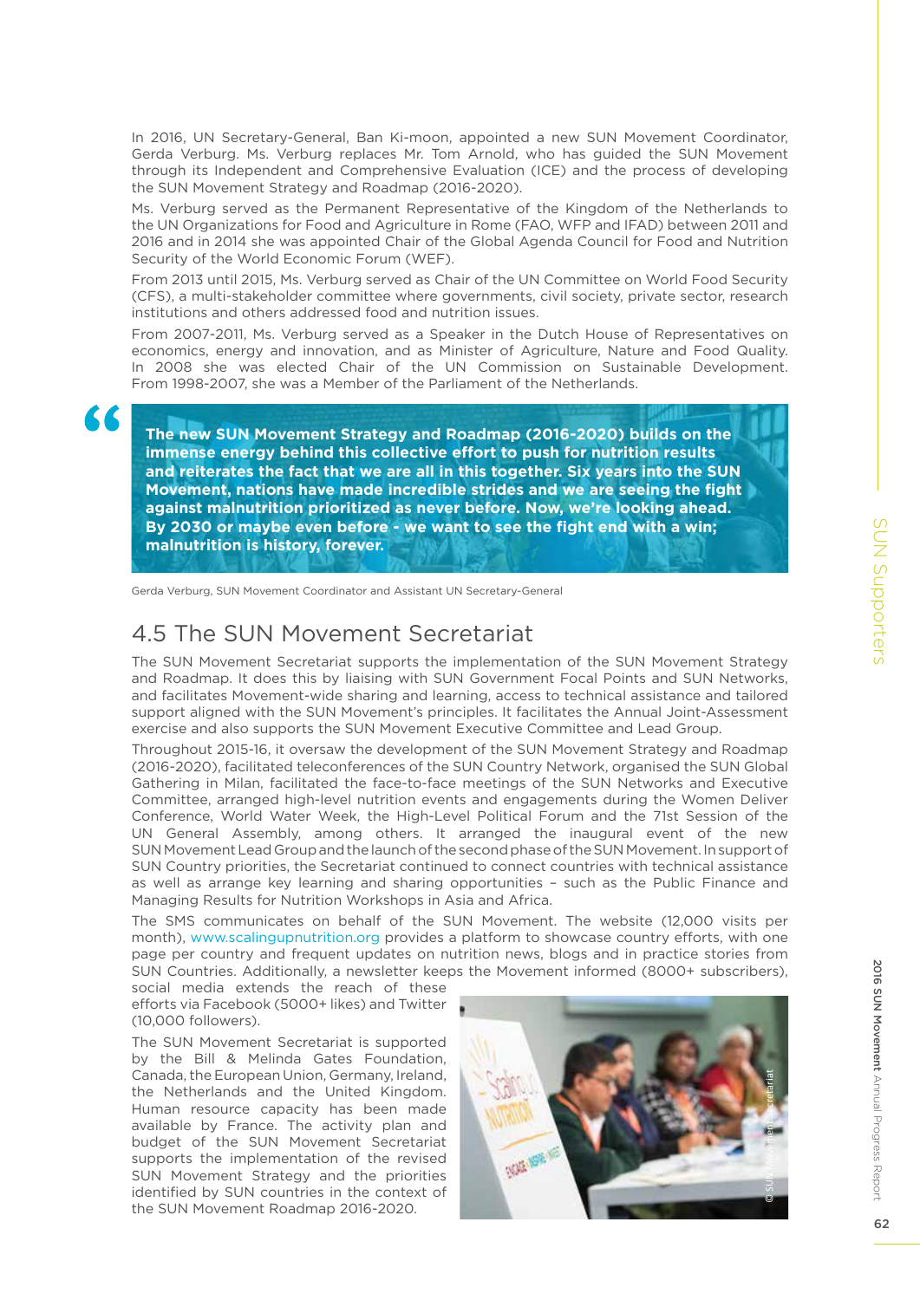In 2016, UN Secretary-General, Ban Ki-moon, appointed a new SUN Movement Coordinator, Gerda Verburg. Ms. Verburg replaces Mr. Tom Arnold, who has guided the SUN Movement through its Independent and Comprehensive Evaluation (ICE) and the process of developing the SUN Movement Strategy and Roadmap (2016-2020).

Ms. Verburg served as the Permanent Representative of the Kingdom of the Netherlands to the UN Organizations for Food and Agriculture in Rome (FAO, WFP and IFAD) between 2011 and 2016 and in 2014 she was appointed Chair of the Global Agenda Council for Food and Nutrition Security of the World Economic Forum (WEF).

From 2013 until 2015, Ms. Verburg served as Chair of the UN Committee on World Food Security (CFS), a multi-stakeholder committee where governments, civil society, private sector, research institutions and others addressed food and nutrition issues.

From 2007-2011, Ms. Verburg served as a Speaker in the Dutch House of Representatives on economics, energy and innovation, and as Minister of Agriculture, Nature and Food Quality. In 2008 she was elected Chair of the UN Commission on Sustainable Development. From 1998-2007, she was a Member of the Parliament of the Netherlands.

**The new SUN Movement Strategy and Roadmap (2016-2020) builds on the immense energy behind this collective effort to push for nutrition results and reiterates the fact that we are all in this together. Six years into the SUN Movement, nations have made incredible strides and we are seeing the fight against malnutrition prioritized as never before. Now, we're looking ahead. By 2030 or maybe even before - we want to see the fight end with a win; malnutrition is history, forever.**

Gerda Verburg, SUN Movement Coordinator and Assistant UN Secretary-General

### 4.5 The SUN Movement Secretariat

The SUN Movement Secretariat supports the implementation of the SUN Movement Strategy and Roadmap. It does this by liaising with SUN Government Focal Points and SUN Networks, and facilitates Movement-wide sharing and learning, access to technical assistance and tailored support aligned with the SUN Movement's principles. It facilitates the Annual Joint-Assessment exercise and also supports the SUN Movement Executive Committee and Lead Group.

Throughout 2015-16, it oversaw the development of the SUN Movement Strategy and Roadmap (2016-2020), facilitated teleconferences of the SUN Country Network, organised the SUN Global Gathering in Milan, facilitated the face-to-face meetings of the SUN Networks and Executive Committee, arranged high-level nutrition events and engagements during the Women Deliver Conference, World Water Week, the High-Level Political Forum and the 71st Session of the UN General Assembly, among others. It arranged the inaugural event of the new SUN Movement Lead Group and the launch of the second phase of the SUN Movement. In support of SUN Country priorities, the Secretariat continued to connect countries with technical assistance as well as arrange key learning and sharing opportunities – such as the Public Finance and Managing Results for Nutrition Workshops in Asia and Africa.

The SMS communicates on behalf of the SUN Movement. The website (12,000 visits per month), www.scalingupnutrition.org provides a platform to showcase country efforts, with one page per country and frequent updates on nutrition news, blogs and in practice stories from SUN Countries. Additionally, a newsletter keeps the Movement informed (8000+ subscribers),

social media extends the reach of these efforts via Facebook (5000+ likes) and Twitter (10,000 followers).

The SUN Movement Secretariat is supported by the Bill & Melinda Gates Foundation, Canada, the European Union, Germany, Ireland, the Netherlands and the United Kingdom. Human resource capacity has been made available by France. The activity plan and budget of the SUN Movement Secretariat supports the implementation of the revised SUN Movement Strategy and the priorities identified by SUN countries in the context of the SUN Movement Roadmap 2016-2020.

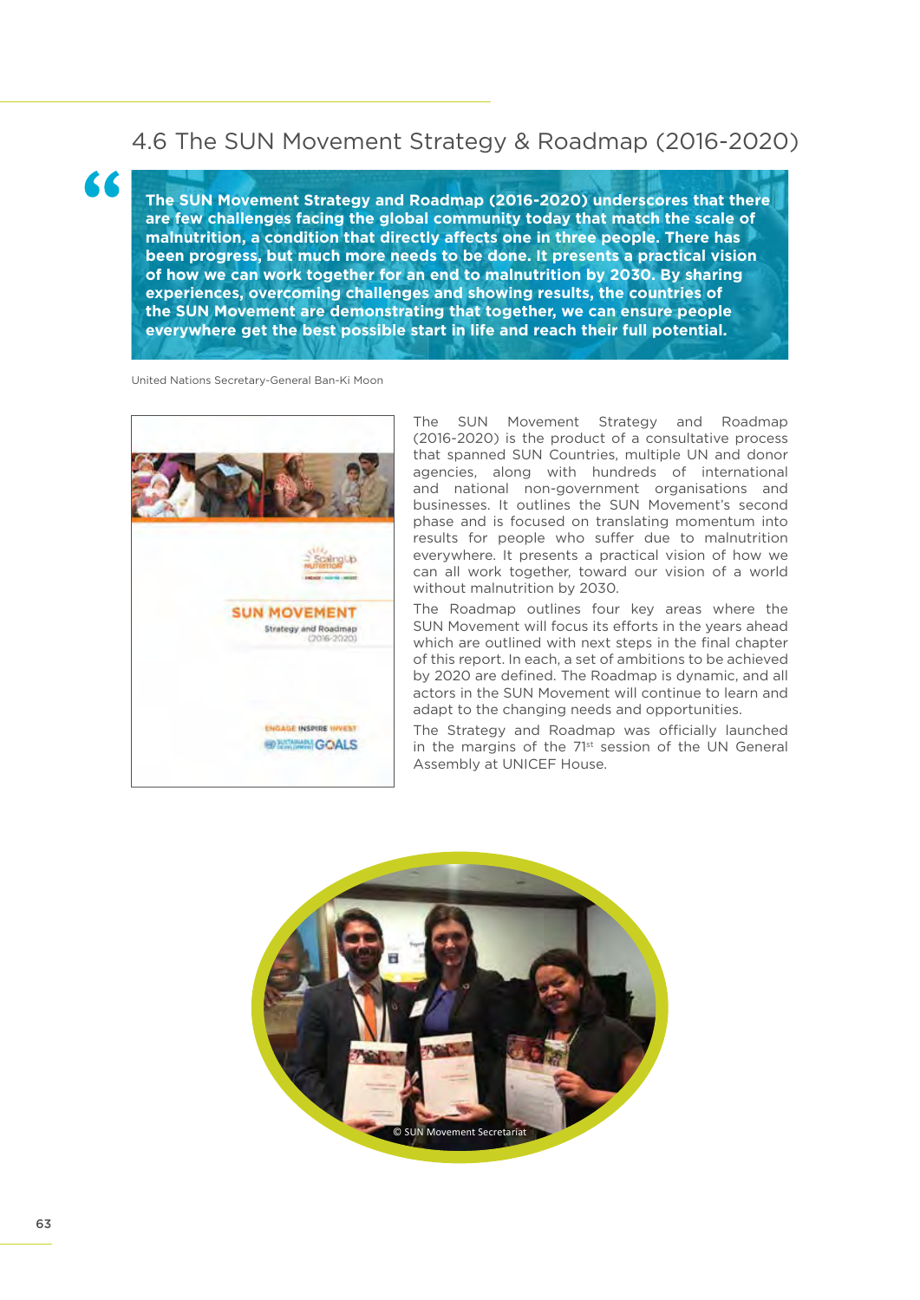### 4.6 The SUN Movement Strategy & Roadmap (2016-2020)

**The SUN Movement Strategy and Roadmap (2016-2020) underscores that there are few challenges facing the global community today that match the scale of malnutrition, a condition that directly affects one in three people. There has been progress, but much more needs to be done. It presents a practical vision of how we can work together for an end to malnutrition by 2030. By sharing experiences, overcoming challenges and showing results, the countries of the SUN Movement are demonstrating that together, we can ensure people everywhere get the best possible start in life and reach their full potential.**

United Nations Secretary-General Ban-Ki Moon

"



The SUN Movement Strategy and Roadmap (2016-2020) is the product of a consultative process that spanned SUN Countries, multiple UN and donor agencies, along with hundreds of international and national non-government organisations and businesses. It outlines the SUN Movement's second phase and is focused on translating momentum into results for people who suffer due to malnutrition everywhere. It presents a practical vision of how we can all work together, toward our vision of a world without malnutrition by 2030.

The Roadmap outlines four key areas where the SUN Movement will focus its efforts in the years ahead which are outlined with next steps in the final chapter of this report. In each, a set of ambitions to be achieved by 2020 are defined. The Roadmap is dynamic, and all actors in the SUN Movement will continue to learn and adapt to the changing needs and opportunities.

The Strategy and Roadmap was officially launched in the margins of the 71<sup>st</sup> session of the UN General Assembly at UNICEF House.